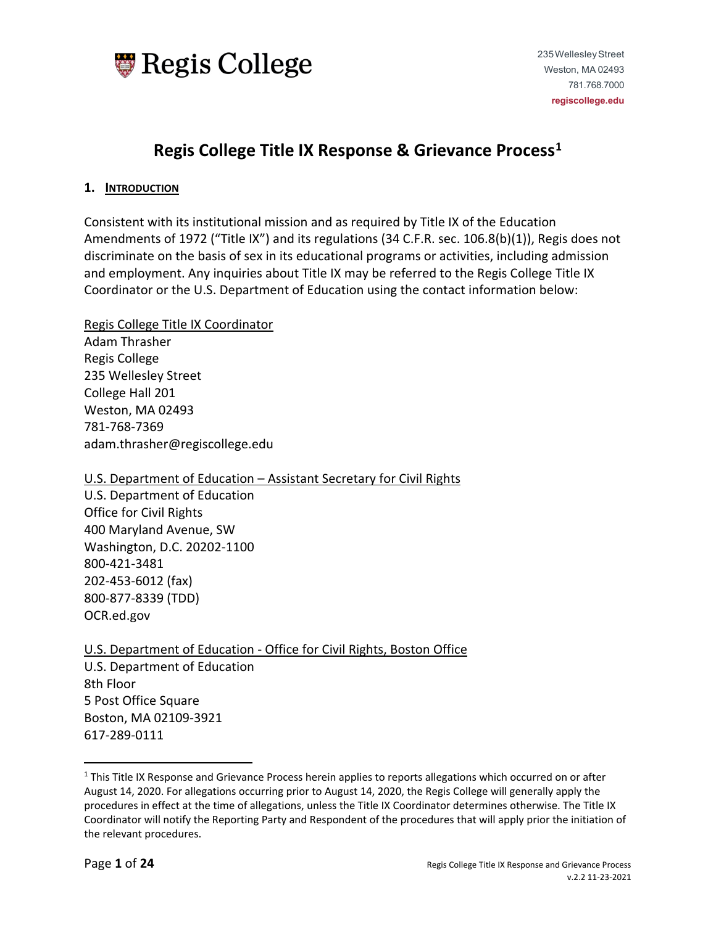

# **Regis College Title IX Response & Grievance Process[1](#page-0-0)**

#### **1. INTRODUCTION**

Consistent with its institutional mission and as required by Title IX of the Education Amendments of 1972 ("Title IX") and its regulations (34 C.F.R. sec. 106.8(b)(1)), Regis does not discriminate on the basis of sex in its educational programs or activities, including admission and employment. Any inquiries about Title IX may be referred to the Regis College Title IX Coordinator or the U.S. Department of Education using the contact information below:

Regis College Title IX Coordinator Adam Thrasher Regis College 235 Wellesley Street College Hall 201 Weston, MA 02493 781-768-7369 adam.thrasher@regiscollege.edu

## U.S. Department of Education – Assistant Secretary for Civil Rights

U.S. Department of Education Office for Civil Rights 400 Maryland Avenue, SW Washington, D.C. 20202-1100 800-421-3481 202-453-6012 (fax) 800-877-8339 (TDD) OCR.ed.gov

U.S. Department of Education - Office for Civil Rights, Boston Office U.S. Department of Education 8th Floor 5 Post Office Square Boston, MA 02109-3921 617-289-0111

<span id="page-0-0"></span><sup>&</sup>lt;sup>1</sup> This Title IX Response and Grievance Process herein applies to reports allegations which occurred on or after August 14, 2020. For allegations occurring prior to August 14, 2020, the Regis College will generally apply the procedures in effect at the time of allegations, unless the Title IX Coordinator determines otherwise. The Title IX Coordinator will notify the Reporting Party and Respondent of the procedures that will apply prior the initiation of the relevant procedures.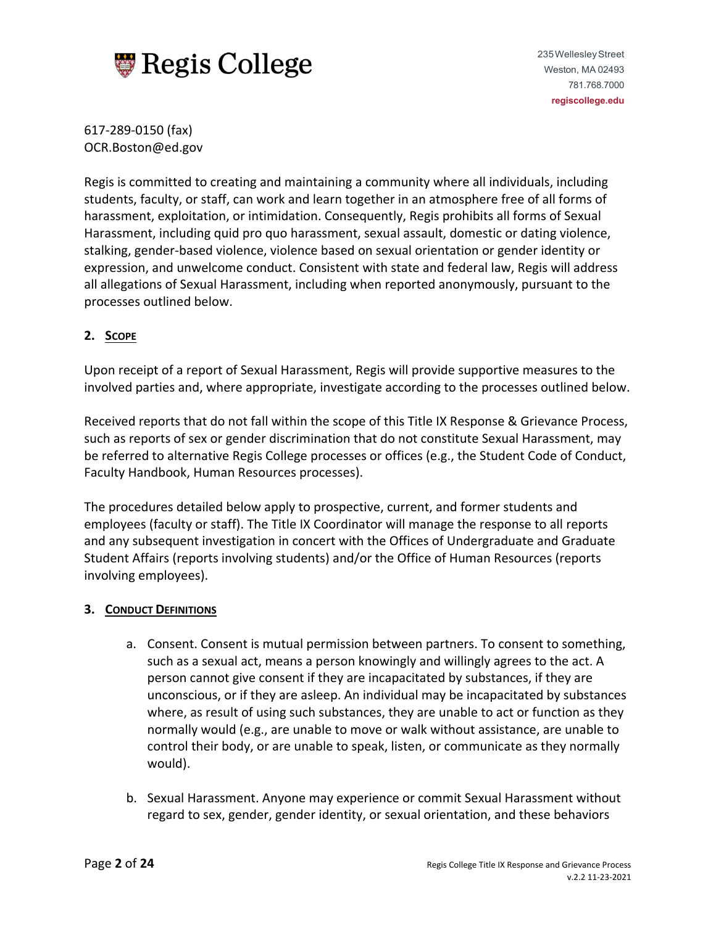

617-289-0150 (fax) OCR.Boston@ed.gov

Regis is committed to creating and maintaining a community where all individuals, including students, faculty, or staff, can work and learn together in an atmosphere free of all forms of harassment, exploitation, or intimidation. Consequently, Regis prohibits all forms of Sexual Harassment, including quid pro quo harassment, sexual assault, domestic or dating violence, stalking, gender-based violence, violence based on sexual orientation or gender identity or expression, and unwelcome conduct. Consistent with state and federal law, Regis will address all allegations of Sexual Harassment, including when reported anonymously, pursuant to the processes outlined below.

# **2. SCOPE**

Upon receipt of a report of Sexual Harassment, Regis will provide supportive measures to the involved parties and, where appropriate, investigate according to the processes outlined below.

Received reports that do not fall within the scope of this Title IX Response & Grievance Process, such as reports of sex or gender discrimination that do not constitute Sexual Harassment, may be referred to alternative Regis College processes or offices (e.g., the Student Code of Conduct, Faculty Handbook, Human Resources processes).

The procedures detailed below apply to prospective, current, and former students and employees (faculty or staff). The Title IX Coordinator will manage the response to all reports and any subsequent investigation in concert with the Offices of Undergraduate and Graduate Student Affairs (reports involving students) and/or the Office of Human Resources (reports involving employees).

## **3. CONDUCT DEFINITIONS**

- a. Consent. Consent is mutual permission between partners. To consent to something, such as a sexual act, means a person knowingly and willingly agrees to the act. A person cannot give consent if they are incapacitated by substances, if they are unconscious, or if they are asleep. An individual may be incapacitated by substances where, as result of using such substances, they are unable to act or function as they normally would (e.g., are unable to move or walk without assistance, are unable to control their body, or are unable to speak, listen, or communicate as they normally would).
- b. Sexual Harassment. Anyone may experience or commit Sexual Harassment without regard to sex, gender, gender identity, or sexual orientation, and these behaviors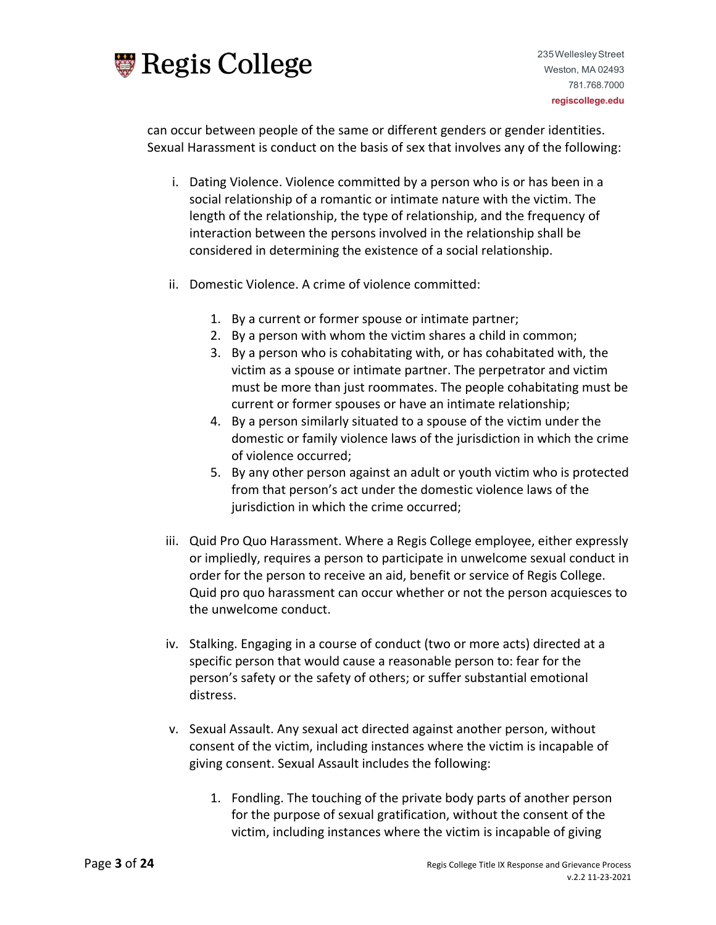

can occur between people of the same or different genders or gender identities. Sexual Harassment is conduct on the basis of sex that involves any of the following:

- i. Dating Violence. Violence committed by a person who is or has been in a social relationship of a romantic or intimate nature with the victim. The length of the relationship, the type of relationship, and the frequency of interaction between the persons involved in the relationship shall be considered in determining the existence of a social relationship.
- ii. Domestic Violence. A crime of violence committed:
	- 1. By a current or former spouse or intimate partner;
	- 2. By a person with whom the victim shares a child in common;
	- 3. By a person who is cohabitating with, or has cohabitated with, the victim as a spouse or intimate partner. The perpetrator and victim must be more than just roommates. The people cohabitating must be current or former spouses or have an intimate relationship;
	- 4. By a person similarly situated to a spouse of the victim under the domestic or family violence laws of the jurisdiction in which the crime of violence occurred;
	- 5. By any other person against an adult or youth victim who is protected from that person's act under the domestic violence laws of the jurisdiction in which the crime occurred;
- iii. Quid Pro Quo Harassment. Where a Regis College employee, either expressly or impliedly, requires a person to participate in unwelcome sexual conduct in order for the person to receive an aid, benefit or service of Regis College. Quid pro quo harassment can occur whether or not the person acquiesces to the unwelcome conduct.
- iv. Stalking. Engaging in a course of conduct (two or more acts) directed at a specific person that would cause a reasonable person to: fear for the person's safety or the safety of others; or suffer substantial emotional distress.
- v. Sexual Assault. Any sexual act directed against another person, without consent of the victim, including instances where the victim is incapable of giving consent. Sexual Assault includes the following:
	- 1. Fondling. The touching of the private body parts of another person for the purpose of sexual gratification, without the consent of the victim, including instances where the victim is incapable of giving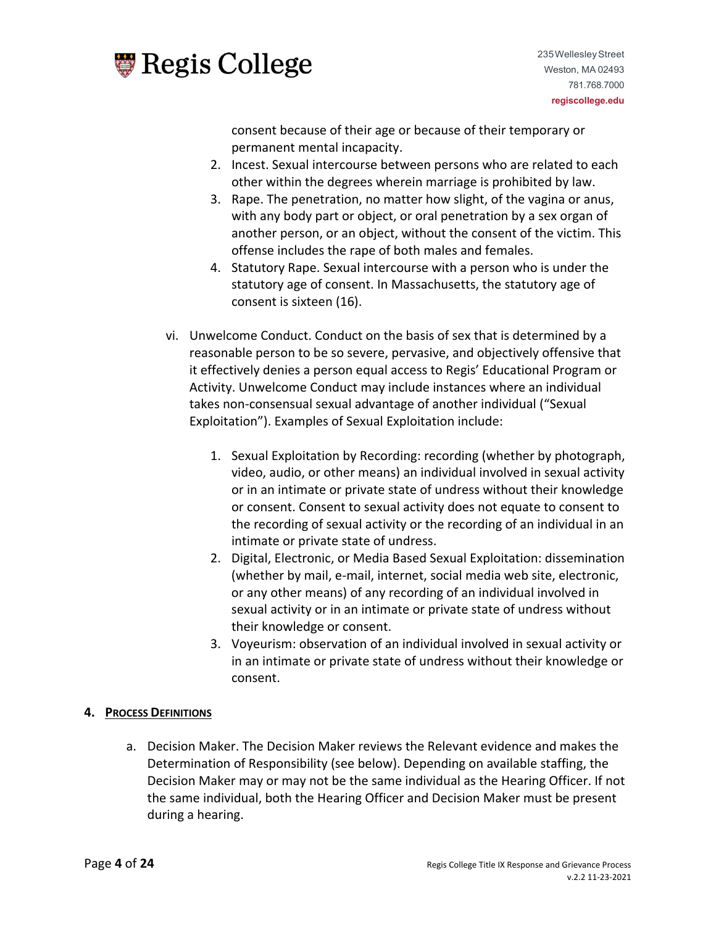

consent because of their age or because of their temporary or permanent mental incapacity.

- 2. Incest. Sexual intercourse between persons who are related to each other within the degrees wherein marriage is prohibited by law.
- 3. Rape. The penetration, no matter how slight, of the vagina or anus, with any body part or object, or oral penetration by a sex organ of another person, or an object, without the consent of the victim. This offense includes the rape of both males and females.
- 4. Statutory Rape. Sexual intercourse with a person who is under the statutory age of consent. In Massachusetts, the statutory age of consent is sixteen (16).
- vi. Unwelcome Conduct. Conduct on the basis of sex that is determined by a reasonable person to be so severe, pervasive, and objectively offensive that it effectively denies a person equal access to Regis' Educational Program or Activity. Unwelcome Conduct may include instances where an individual takes non-consensual sexual advantage of another individual ("Sexual Exploitation"). Examples of Sexual Exploitation include:
	- 1. Sexual Exploitation by Recording: recording (whether by photograph, video, audio, or other means) an individual involved in sexual activity or in an intimate or private state of undress without their knowledge or consent. Consent to sexual activity does not equate to consent to the recording of sexual activity or the recording of an individual in an intimate or private state of undress.
	- 2. Digital, Electronic, or Media Based Sexual Exploitation: dissemination (whether by mail, e-mail, internet, social media web site, electronic, or any other means) of any recording of an individual involved in sexual activity or in an intimate or private state of undress without their knowledge or consent.
	- 3. Voyeurism: observation of an individual involved in sexual activity or in an intimate or private state of undress without their knowledge or consent.

# **4. PROCESS DEFINITIONS**

a. Decision Maker. The Decision Maker reviews the Relevant evidence and makes the Determination of Responsibility (see below). Depending on available staffing, the Decision Maker may or may not be the same individual as the Hearing Officer. If not the same individual, both the Hearing Officer and Decision Maker must be present during a hearing.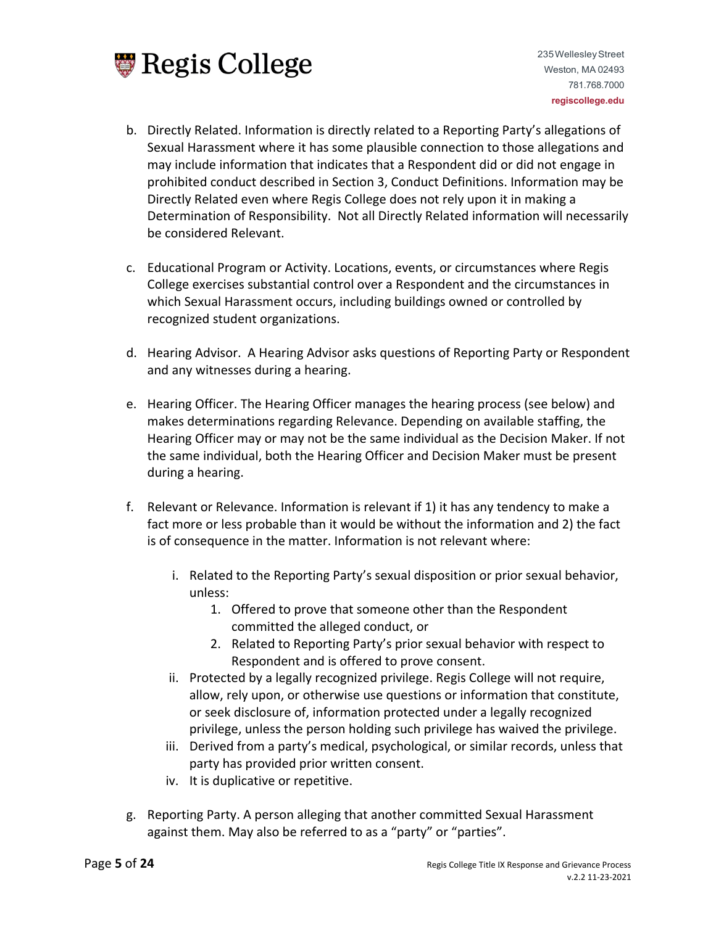

- b. Directly Related. Information is directly related to a Reporting Party's allegations of Sexual Harassment where it has some plausible connection to those allegations and may include information that indicates that a Respondent did or did not engage in prohibited conduct described in Section 3, Conduct Definitions. Information may be Directly Related even where Regis College does not rely upon it in making a Determination of Responsibility. Not all Directly Related information will necessarily be considered Relevant.
- c. Educational Program or Activity. Locations, events, or circumstances where Regis College exercises substantial control over a Respondent and the circumstances in which Sexual Harassment occurs, including buildings owned or controlled by recognized student organizations.
- d. Hearing Advisor. A Hearing Advisor asks questions of Reporting Party or Respondent and any witnesses during a hearing.
- e. Hearing Officer. The Hearing Officer manages the hearing process (see below) and makes determinations regarding Relevance. Depending on available staffing, the Hearing Officer may or may not be the same individual as the Decision Maker. If not the same individual, both the Hearing Officer and Decision Maker must be present during a hearing.
- f. Relevant or Relevance. Information is relevant if 1) it has any tendency to make a fact more or less probable than it would be without the information and 2) the fact is of consequence in the matter. Information is not relevant where:
	- i. Related to the Reporting Party's sexual disposition or prior sexual behavior, unless:
		- 1. Offered to prove that someone other than the Respondent committed the alleged conduct, or
		- 2. Related to Reporting Party's prior sexual behavior with respect to Respondent and is offered to prove consent.
	- ii. Protected by a legally recognized privilege. Regis College will not require, allow, rely upon, or otherwise use questions or information that constitute, or seek disclosure of, information protected under a legally recognized privilege, unless the person holding such privilege has waived the privilege.
	- iii. Derived from a party's medical, psychological, or similar records, unless that party has provided prior written consent.
	- iv. It is duplicative or repetitive.
- g. Reporting Party. A person alleging that another committed Sexual Harassment against them. May also be referred to as a "party" or "parties".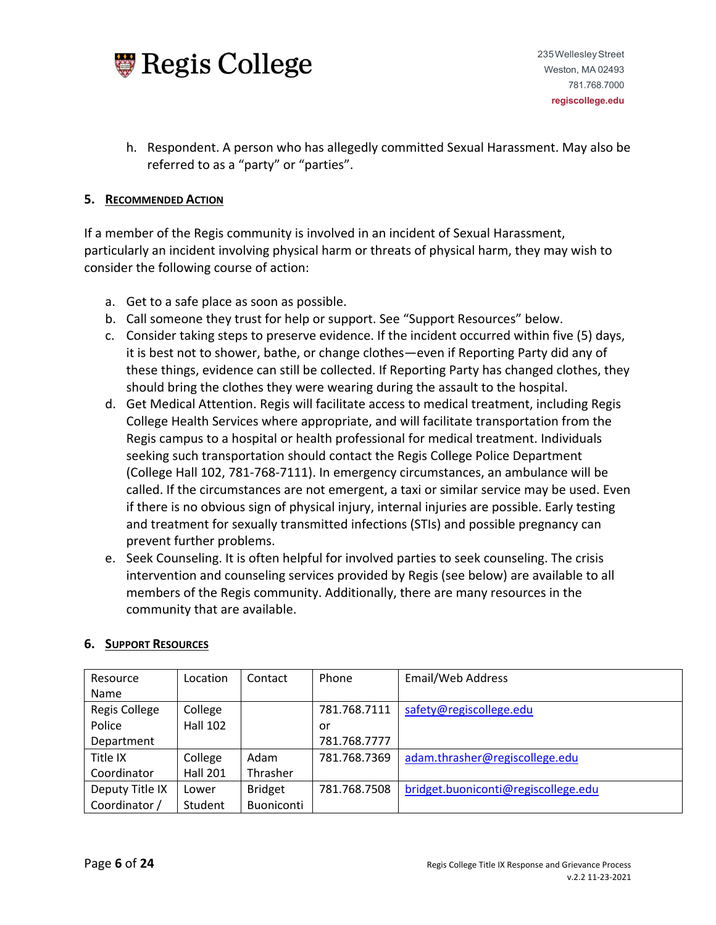

h. Respondent. A person who has allegedly committed Sexual Harassment. May also be referred to as a "party" or "parties".

## **5. RECOMMENDED ACTION**

If a member of the Regis community is involved in an incident of Sexual Harassment, particularly an incident involving physical harm or threats of physical harm, they may wish to consider the following course of action:

- a. Get to a safe place as soon as possible.
- b. Call someone they trust for help or support. See "Support Resources" below.
- c. Consider taking steps to preserve evidence. If the incident occurred within five (5) days, it is best not to shower, bathe, or change clothes—even if Reporting Party did any of these things, evidence can still be collected. If Reporting Party has changed clothes, they should bring the clothes they were wearing during the assault to the hospital.
- d. Get Medical Attention. Regis will facilitate access to medical treatment, including Regis College Health Services where appropriate, and will facilitate transportation from the Regis campus to a hospital or health professional for medical treatment. Individuals seeking such transportation should contact the Regis College Police Department (College Hall 102, 781-768-7111). In emergency circumstances, an ambulance will be called. If the circumstances are not emergent, a taxi or similar service may be used. Even if there is no obvious sign of physical injury, internal injuries are possible. Early testing and treatment for sexually transmitted infections (STIs) and possible pregnancy can prevent further problems.
- e. Seek Counseling. It is often helpful for involved parties to seek counseling. The crisis intervention and counseling services provided by Regis (see below) are available to all members of the Regis community. Additionally, there are many resources in the community that are available.

| Resource        | Location        | Contact           | Phone        | Email/Web Address                   |
|-----------------|-----------------|-------------------|--------------|-------------------------------------|
| Name            |                 |                   |              |                                     |
| Regis College   | College         |                   | 781.768.7111 | safety@regiscollege.edu             |
| Police          | <b>Hall 102</b> |                   | or           |                                     |
| Department      |                 |                   | 781.768.7777 |                                     |
| Title IX        | College         | Adam              | 781.768.7369 | adam.thrasher@regiscollege.edu      |
| Coordinator     | <b>Hall 201</b> | Thrasher          |              |                                     |
| Deputy Title IX | Lower           | <b>Bridget</b>    | 781.768.7508 | bridget.buoniconti@regiscollege.edu |
| Coordinator /   | Student         | <b>Buoniconti</b> |              |                                     |

#### **6. SUPPORT RESOURCES**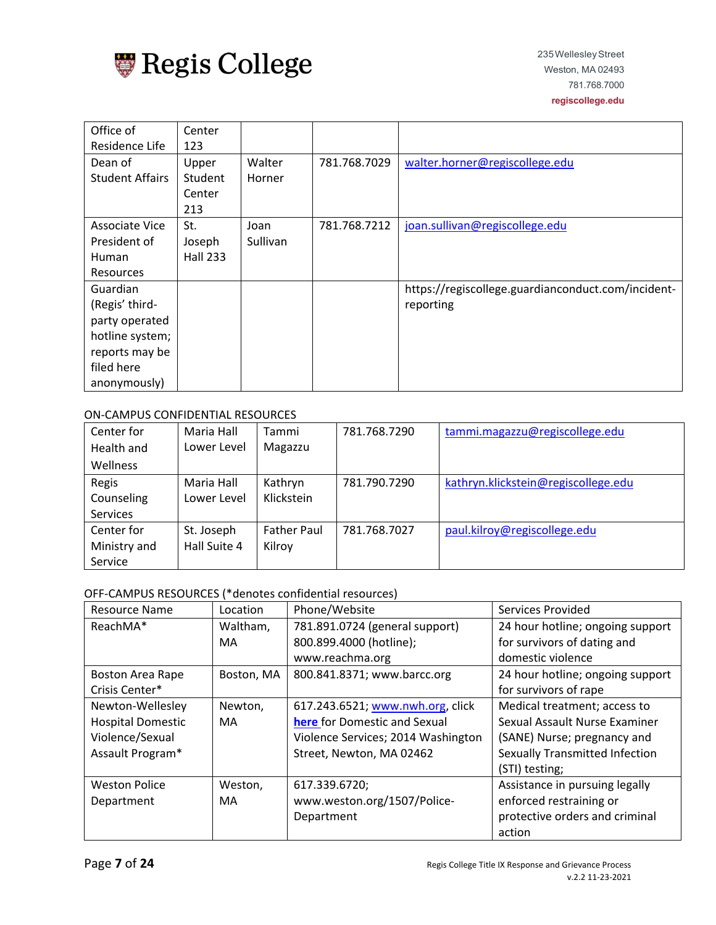

| Office of              | Center          |          |              |                                                    |
|------------------------|-----------------|----------|--------------|----------------------------------------------------|
| Residence Life         | 123             |          |              |                                                    |
| Dean of                | Upper           | Walter   | 781.768.7029 | walter.horner@regiscollege.edu                     |
| <b>Student Affairs</b> | Student         | Horner   |              |                                                    |
|                        | Center          |          |              |                                                    |
|                        | 213             |          |              |                                                    |
| Associate Vice         | St.             | Joan     | 781.768.7212 | joan.sullivan@regiscollege.edu                     |
| President of           | Joseph          | Sullivan |              |                                                    |
| Human                  | <b>Hall 233</b> |          |              |                                                    |
| <b>Resources</b>       |                 |          |              |                                                    |
| Guardian               |                 |          |              | https://regiscollege.guardianconduct.com/incident- |
| (Regis' third-         |                 |          |              | reporting                                          |
| party operated         |                 |          |              |                                                    |
| hotline system;        |                 |          |              |                                                    |
| reports may be         |                 |          |              |                                                    |
| filed here             |                 |          |              |                                                    |
| anonymously)           |                 |          |              |                                                    |

#### ON-CAMPUS CONFIDENTIAL RESOURCES

| Center for      | Maria Hall   | Tammi              | 781.768.7290 | tammi.magazzu@regiscollege.edu      |
|-----------------|--------------|--------------------|--------------|-------------------------------------|
| Health and      | Lower Level  | Magazzu            |              |                                     |
| Wellness        |              |                    |              |                                     |
| Regis           | Maria Hall   | Kathryn            | 781.790.7290 | kathryn.klickstein@regiscollege.edu |
| Counseling      | Lower Level  | Klickstein         |              |                                     |
| <b>Services</b> |              |                    |              |                                     |
| Center for      | St. Joseph   | <b>Father Paul</b> | 781.768.7027 | paul.kilroy@regiscollege.edu        |
| Ministry and    | Hall Suite 4 | Kilroy             |              |                                     |
| Service         |              |                    |              |                                     |

# OFF-CAMPUS RESOURCES (\*denotes confidential resources)

| <b>Resource Name</b>     | Location   | Phone/Website                      | Services Provided                |
|--------------------------|------------|------------------------------------|----------------------------------|
| ReachMA*                 | Waltham,   | 781.891.0724 (general support)     | 24 hour hotline; ongoing support |
|                          | MA         | 800.899.4000 (hotline);            | for survivors of dating and      |
|                          |            | www.reachma.org                    | domestic violence                |
| <b>Boston Area Rape</b>  | Boston, MA | 800.841.8371; www.barcc.org        | 24 hour hotline; ongoing support |
| Crisis Center*           |            |                                    | for survivors of rape            |
| Newton-Wellesley         | Newton,    | 617.243.6521; www.nwh.org, click   | Medical treatment; access to     |
| <b>Hospital Domestic</b> | MA         | here for Domestic and Sexual       | Sexual Assault Nurse Examiner    |
| Violence/Sexual          |            | Violence Services; 2014 Washington | (SANE) Nurse; pregnancy and      |
| Assault Program*         |            | Street, Newton, MA 02462           | Sexually Transmitted Infection   |
|                          |            |                                    | (STI) testing;                   |
| <b>Weston Police</b>     | Weston,    | 617.339.6720;                      | Assistance in pursuing legally   |
| Department               | MA         | www.weston.org/1507/Police-        | enforced restraining or          |
|                          |            | Department                         | protective orders and criminal   |
|                          |            |                                    | action                           |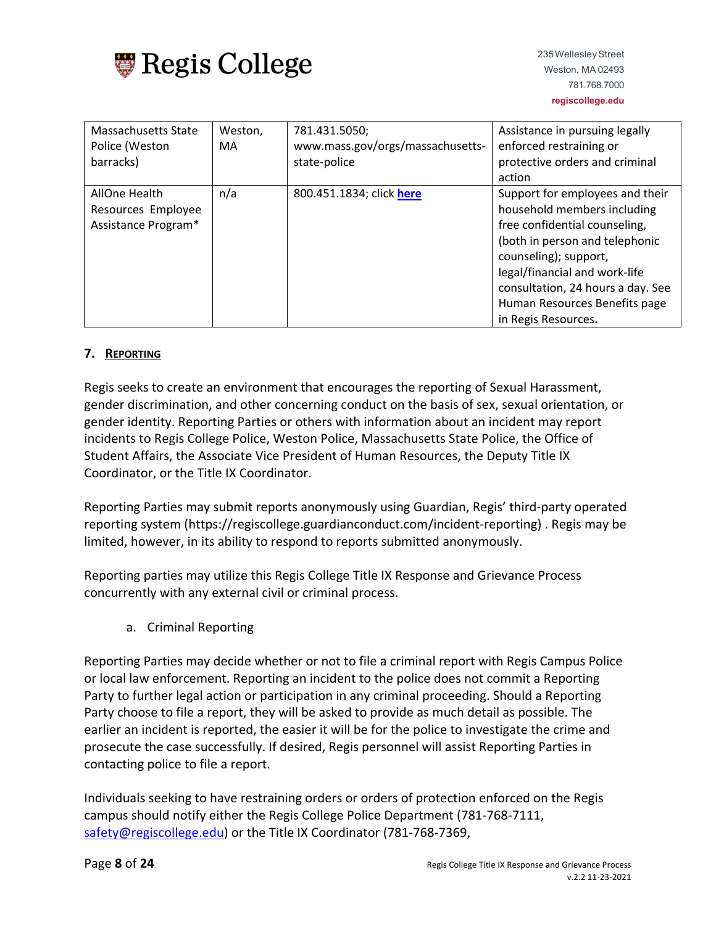

| Massachusetts State | Weston, | 781.431.5050;                    | Assistance in pursuing legally    |
|---------------------|---------|----------------------------------|-----------------------------------|
| Police (Weston      | MA      | www.mass.gov/orgs/massachusetts- | enforced restraining or           |
| barracks)           |         | state-police                     | protective orders and criminal    |
|                     |         |                                  | action                            |
| AllOne Health       | n/a     | 800.451.1834; click here         | Support for employees and their   |
| Resources Employee  |         |                                  | household members including       |
| Assistance Program* |         |                                  | free confidential counseling,     |
|                     |         |                                  | (both in person and telephonic    |
|                     |         |                                  | counseling); support,             |
|                     |         |                                  | legal/financial and work-life     |
|                     |         |                                  | consultation, 24 hours a day. See |
|                     |         |                                  | Human Resources Benefits page     |
|                     |         |                                  | in Regis Resources.               |

# **7. REPORTING**

Regis seeks to create an environment that encourages the reporting of Sexual Harassment, gender discrimination, and other concerning conduct on the basis of sex, sexual orientation, or gender identity. Reporting Parties or others with information about an incident may report incidents to Regis College Police, Weston Police, Massachusetts State Police, the Office of Student Affairs, the Associate Vice President of Human Resources, the Deputy Title IX Coordinator, or the Title IX Coordinator.

Reporting Parties may submit reports anonymously using Guardian, Regis' third-party operated reporting system (https://regiscollege.guardianconduct.com/incident-reporting) . Regis may be limited, however, in its ability to respond to reports submitted anonymously.

Reporting parties may utilize this Regis College Title IX Response and Grievance Process concurrently with any external civil or criminal process.

a. Criminal Reporting

Reporting Parties may decide whether or not to file a criminal report with Regis Campus Police or local law enforcement. Reporting an incident to the police does not commit a Reporting Party to further legal action or participation in any criminal proceeding. Should a Reporting Party choose to file a report, they will be asked to provide as much detail as possible. The earlier an incident is reported, the easier it will be for the police to investigate the crime and prosecute the case successfully. If desired, Regis personnel will assist Reporting Parties in contacting police to file a report.

Individuals seeking to have restraining orders or orders of protection enforced on the Regis campus should notify either the Regis College Police Department (781-768-7111, [safety@regiscollege.edu\)](mailto:safety@regiscollege.edu) or the Title IX Coordinator (781-768-7369,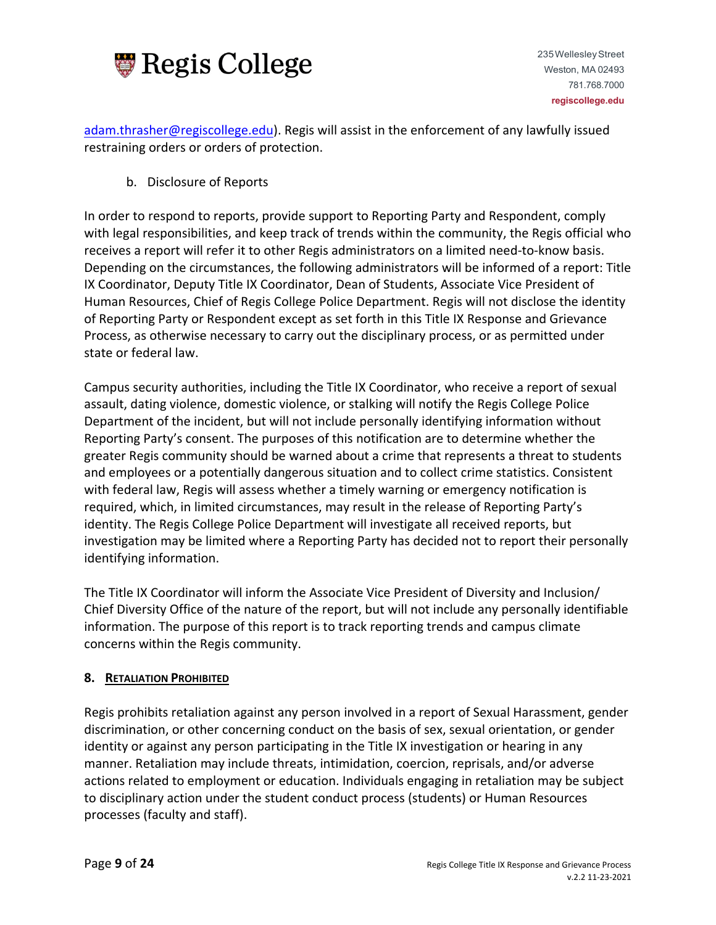

[adam.thrasher@regiscollege.edu\)](mailto:adam.thrasher@regiscollege.edu). Regis will assist in the enforcement of any lawfully issued restraining orders or orders of protection.

b. Disclosure of Reports

In order to respond to reports, provide support to Reporting Party and Respondent, comply with legal responsibilities, and keep track of trends within the community, the Regis official who receives a report will refer it to other Regis administrators on a limited need-to-know basis. Depending on the circumstances, the following administrators will be informed of a report: Title IX Coordinator, Deputy Title IX Coordinator, Dean of Students, Associate Vice President of Human Resources, Chief of Regis College Police Department. Regis will not disclose the identity of Reporting Party or Respondent except as set forth in this Title IX Response and Grievance Process, as otherwise necessary to carry out the disciplinary process, or as permitted under state or federal law.

Campus security authorities, including the Title IX Coordinator, who receive a report of sexual assault, dating violence, domestic violence, or stalking will notify the Regis College Police Department of the incident, but will not include personally identifying information without Reporting Party's consent. The purposes of this notification are to determine whether the greater Regis community should be warned about a crime that represents a threat to students and employees or a potentially dangerous situation and to collect crime statistics. Consistent with federal law, Regis will assess whether a timely warning or emergency notification is required, which, in limited circumstances, may result in the release of Reporting Party's identity. The Regis College Police Department will investigate all received reports, but investigation may be limited where a Reporting Party has decided not to report their personally identifying information.

The Title IX Coordinator will inform the Associate Vice President of Diversity and Inclusion/ Chief Diversity Office of the nature of the report, but will not include any personally identifiable information. The purpose of this report is to track reporting trends and campus climate concerns within the Regis community.

# **8. RETALIATION PROHIBITED**

Regis prohibits retaliation against any person involved in a report of Sexual Harassment, gender discrimination, or other concerning conduct on the basis of sex, sexual orientation, or gender identity or against any person participating in the Title IX investigation or hearing in any manner. Retaliation may include threats, intimidation, coercion, reprisals, and/or adverse actions related to employment or education. Individuals engaging in retaliation may be subject to disciplinary action under the student conduct process (students) or Human Resources processes (faculty and staff).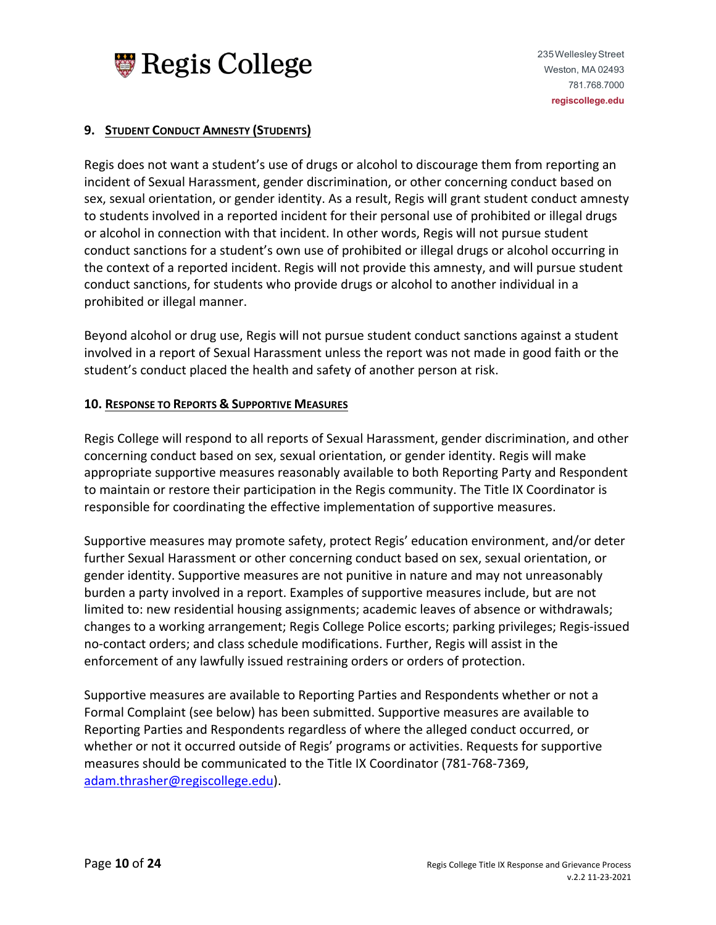

## **9. STUDENT CONDUCT AMNESTY (STUDENTS)**

Regis does not want a student's use of drugs or alcohol to discourage them from reporting an incident of Sexual Harassment, gender discrimination, or other concerning conduct based on sex, sexual orientation, or gender identity. As a result, Regis will grant student conduct amnesty to students involved in a reported incident for their personal use of prohibited or illegal drugs or alcohol in connection with that incident. In other words, Regis will not pursue student conduct sanctions for a student's own use of prohibited or illegal drugs or alcohol occurring in the context of a reported incident. Regis will not provide this amnesty, and will pursue student conduct sanctions, for students who provide drugs or alcohol to another individual in a prohibited or illegal manner.

Beyond alcohol or drug use, Regis will not pursue student conduct sanctions against a student involved in a report of Sexual Harassment unless the report was not made in good faith or the student's conduct placed the health and safety of another person at risk.

#### **10. RESPONSE TO REPORTS & SUPPORTIVE MEASURES**

Regis College will respond to all reports of Sexual Harassment, gender discrimination, and other concerning conduct based on sex, sexual orientation, or gender identity. Regis will make appropriate supportive measures reasonably available to both Reporting Party and Respondent to maintain or restore their participation in the Regis community. The Title IX Coordinator is responsible for coordinating the effective implementation of supportive measures.

Supportive measures may promote safety, protect Regis' education environment, and/or deter further Sexual Harassment or other concerning conduct based on sex, sexual orientation, or gender identity. Supportive measures are not punitive in nature and may not unreasonably burden a party involved in a report. Examples of supportive measures include, but are not limited to: new residential housing assignments; academic leaves of absence or withdrawals; changes to a working arrangement; Regis College Police escorts; parking privileges; Regis-issued no-contact orders; and class schedule modifications. Further, Regis will assist in the enforcement of any lawfully issued restraining orders or orders of protection.

Supportive measures are available to Reporting Parties and Respondents whether or not a Formal Complaint (see below) has been submitted. Supportive measures are available to Reporting Parties and Respondents regardless of where the alleged conduct occurred, or whether or not it occurred outside of Regis' programs or activities. Requests for supportive measures should be communicated to the Title IX Coordinator (781-768-7369, [adam.thrasher@regiscollege.edu\)](mailto:adam.thrasher@regiscollege.edu).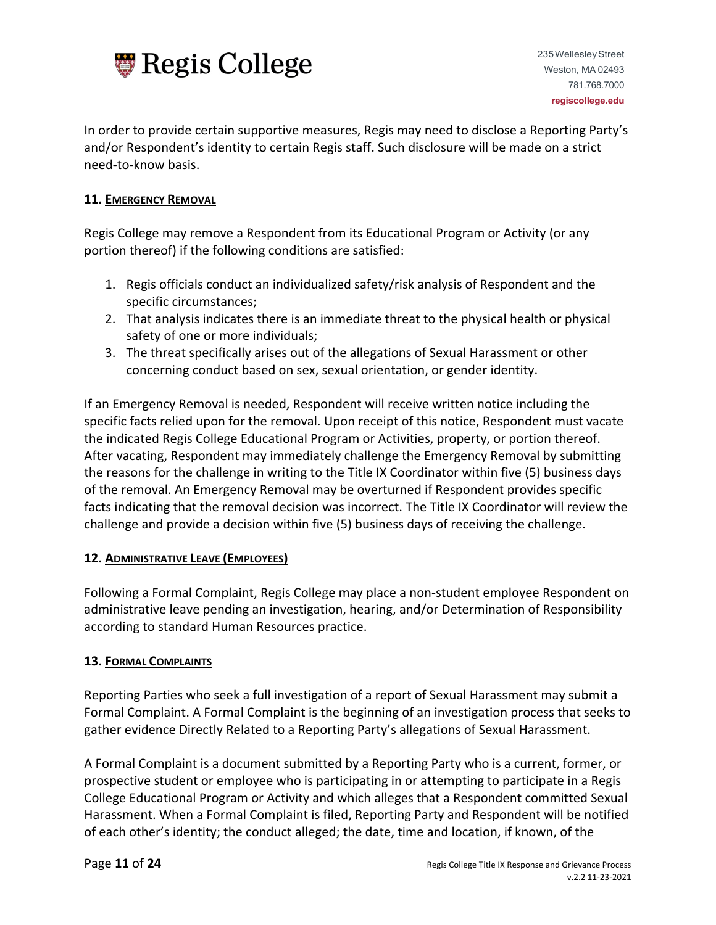

In order to provide certain supportive measures, Regis may need to disclose a Reporting Party's and/or Respondent's identity to certain Regis staff. Such disclosure will be made on a strict need-to-know basis.

## **11. EMERGENCY REMOVAL**

Regis College may remove a Respondent from its Educational Program or Activity (or any portion thereof) if the following conditions are satisfied:

- 1. Regis officials conduct an individualized safety/risk analysis of Respondent and the specific circumstances;
- 2. That analysis indicates there is an immediate threat to the physical health or physical safety of one or more individuals;
- 3. The threat specifically arises out of the allegations of Sexual Harassment or other concerning conduct based on sex, sexual orientation, or gender identity.

If an Emergency Removal is needed, Respondent will receive written notice including the specific facts relied upon for the removal. Upon receipt of this notice, Respondent must vacate the indicated Regis College Educational Program or Activities, property, or portion thereof. After vacating, Respondent may immediately challenge the Emergency Removal by submitting the reasons for the challenge in writing to the Title IX Coordinator within five (5) business days of the removal. An Emergency Removal may be overturned if Respondent provides specific facts indicating that the removal decision was incorrect. The Title IX Coordinator will review the challenge and provide a decision within five (5) business days of receiving the challenge.

# **12. ADMINISTRATIVE LEAVE (EMPLOYEES)**

Following a Formal Complaint, Regis College may place a non-student employee Respondent on administrative leave pending an investigation, hearing, and/or Determination of Responsibility according to standard Human Resources practice.

# **13. FORMAL COMPLAINTS**

Reporting Parties who seek a full investigation of a report of Sexual Harassment may submit a Formal Complaint. A Formal Complaint is the beginning of an investigation process that seeks to gather evidence Directly Related to a Reporting Party's allegations of Sexual Harassment.

A Formal Complaint is a document submitted by a Reporting Party who is a current, former, or prospective student or employee who is participating in or attempting to participate in a Regis College Educational Program or Activity and which alleges that a Respondent committed Sexual Harassment. When a Formal Complaint is filed, Reporting Party and Respondent will be notified of each other's identity; the conduct alleged; the date, time and location, if known, of the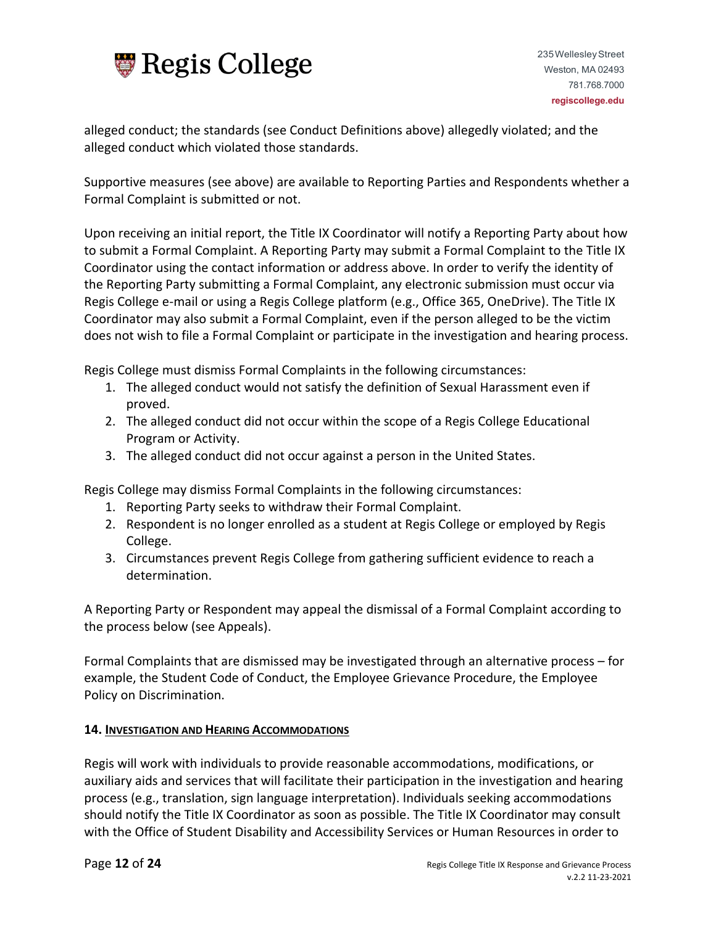

alleged conduct; the standards (see Conduct Definitions above) allegedly violated; and the alleged conduct which violated those standards.

Supportive measures (see above) are available to Reporting Parties and Respondents whether a Formal Complaint is submitted or not.

Upon receiving an initial report, the Title IX Coordinator will notify a Reporting Party about how to submit a Formal Complaint. A Reporting Party may submit a Formal Complaint to the Title IX Coordinator using the contact information or address above. In order to verify the identity of the Reporting Party submitting a Formal Complaint, any electronic submission must occur via Regis College e-mail or using a Regis College platform (e.g., Office 365, OneDrive). The Title IX Coordinator may also submit a Formal Complaint, even if the person alleged to be the victim does not wish to file a Formal Complaint or participate in the investigation and hearing process.

Regis College must dismiss Formal Complaints in the following circumstances:

- 1. The alleged conduct would not satisfy the definition of Sexual Harassment even if proved.
- 2. The alleged conduct did not occur within the scope of a Regis College Educational Program or Activity.
- 3. The alleged conduct did not occur against a person in the United States.

Regis College may dismiss Formal Complaints in the following circumstances:

- 1. Reporting Party seeks to withdraw their Formal Complaint.
- 2. Respondent is no longer enrolled as a student at Regis College or employed by Regis College.
- 3. Circumstances prevent Regis College from gathering sufficient evidence to reach a determination.

A Reporting Party or Respondent may appeal the dismissal of a Formal Complaint according to the process below (see Appeals).

Formal Complaints that are dismissed may be investigated through an alternative process – for example, the Student Code of Conduct, the Employee Grievance Procedure, the Employee Policy on Discrimination.

## **14. INVESTIGATION AND HEARING ACCOMMODATIONS**

Regis will work with individuals to provide reasonable accommodations, modifications, or auxiliary aids and services that will facilitate their participation in the investigation and hearing process (e.g., translation, sign language interpretation). Individuals seeking accommodations should notify the Title IX Coordinator as soon as possible. The Title IX Coordinator may consult with the Office of Student Disability and Accessibility Services or Human Resources in order to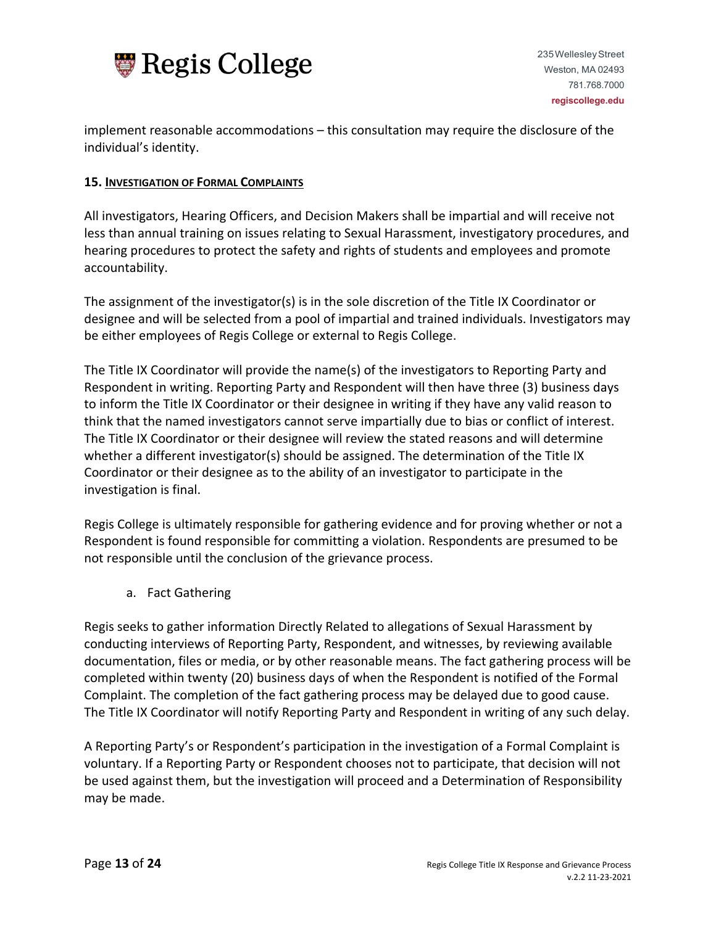

implement reasonable accommodations – this consultation may require the disclosure of the individual's identity.

#### **15. INVESTIGATION OF FORMAL COMPLAINTS**

All investigators, Hearing Officers, and Decision Makers shall be impartial and will receive not less than annual training on issues relating to Sexual Harassment, investigatory procedures, and hearing procedures to protect the safety and rights of students and employees and promote accountability.

The assignment of the investigator(s) is in the sole discretion of the Title IX Coordinator or designee and will be selected from a pool of impartial and trained individuals. Investigators may be either employees of Regis College or external to Regis College.

The Title IX Coordinator will provide the name(s) of the investigators to Reporting Party and Respondent in writing. Reporting Party and Respondent will then have three (3) business days to inform the Title IX Coordinator or their designee in writing if they have any valid reason to think that the named investigators cannot serve impartially due to bias or conflict of interest. The Title IX Coordinator or their designee will review the stated reasons and will determine whether a different investigator(s) should be assigned. The determination of the Title IX Coordinator or their designee as to the ability of an investigator to participate in the investigation is final.

Regis College is ultimately responsible for gathering evidence and for proving whether or not a Respondent is found responsible for committing a violation. Respondents are presumed to be not responsible until the conclusion of the grievance process.

a. Fact Gathering

Regis seeks to gather information Directly Related to allegations of Sexual Harassment by conducting interviews of Reporting Party, Respondent, and witnesses, by reviewing available documentation, files or media, or by other reasonable means. The fact gathering process will be completed within twenty (20) business days of when the Respondent is notified of the Formal Complaint. The completion of the fact gathering process may be delayed due to good cause. The Title IX Coordinator will notify Reporting Party and Respondent in writing of any such delay.

A Reporting Party's or Respondent's participation in the investigation of a Formal Complaint is voluntary. If a Reporting Party or Respondent chooses not to participate, that decision will not be used against them, but the investigation will proceed and a Determination of Responsibility may be made.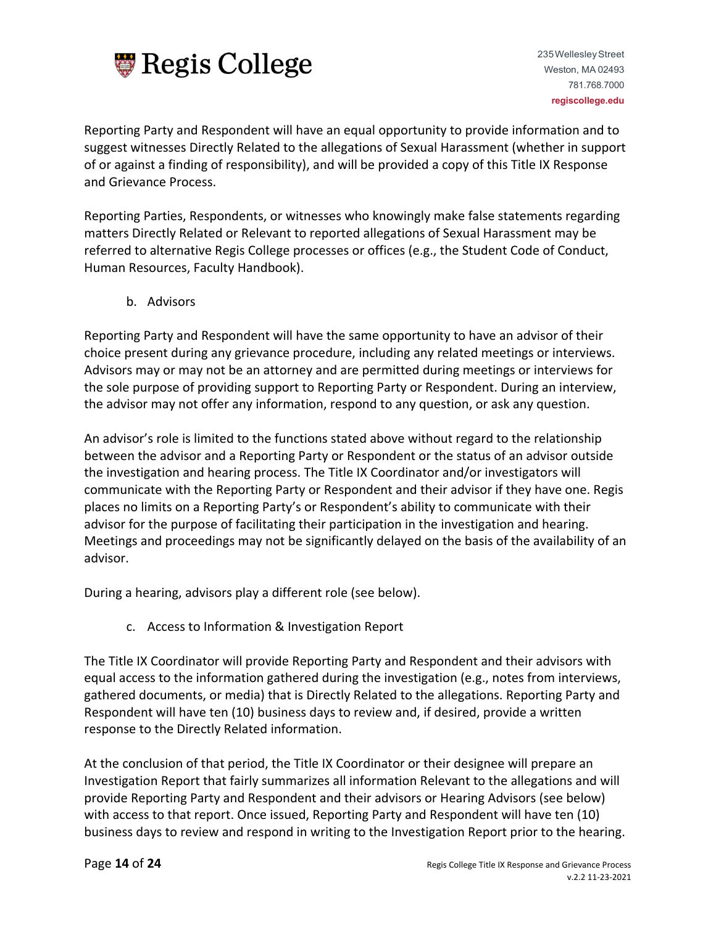

Reporting Party and Respondent will have an equal opportunity to provide information and to suggest witnesses Directly Related to the allegations of Sexual Harassment (whether in support of or against a finding of responsibility), and will be provided a copy of this Title IX Response and Grievance Process.

Reporting Parties, Respondents, or witnesses who knowingly make false statements regarding matters Directly Related or Relevant to reported allegations of Sexual Harassment may be referred to alternative Regis College processes or offices (e.g., the Student Code of Conduct, Human Resources, Faculty Handbook).

b. Advisors

Reporting Party and Respondent will have the same opportunity to have an advisor of their choice present during any grievance procedure, including any related meetings or interviews. Advisors may or may not be an attorney and are permitted during meetings or interviews for the sole purpose of providing support to Reporting Party or Respondent. During an interview, the advisor may not offer any information, respond to any question, or ask any question.

An advisor's role is limited to the functions stated above without regard to the relationship between the advisor and a Reporting Party or Respondent or the status of an advisor outside the investigation and hearing process. The Title IX Coordinator and/or investigators will communicate with the Reporting Party or Respondent and their advisor if they have one. Regis places no limits on a Reporting Party's or Respondent's ability to communicate with their advisor for the purpose of facilitating their participation in the investigation and hearing. Meetings and proceedings may not be significantly delayed on the basis of the availability of an advisor.

During a hearing, advisors play a different role (see below).

c. Access to Information & Investigation Report

The Title IX Coordinator will provide Reporting Party and Respondent and their advisors with equal access to the information gathered during the investigation (e.g., notes from interviews, gathered documents, or media) that is Directly Related to the allegations. Reporting Party and Respondent will have ten (10) business days to review and, if desired, provide a written response to the Directly Related information.

At the conclusion of that period, the Title IX Coordinator or their designee will prepare an Investigation Report that fairly summarizes all information Relevant to the allegations and will provide Reporting Party and Respondent and their advisors or Hearing Advisors (see below) with access to that report. Once issued, Reporting Party and Respondent will have ten (10) business days to review and respond in writing to the Investigation Report prior to the hearing.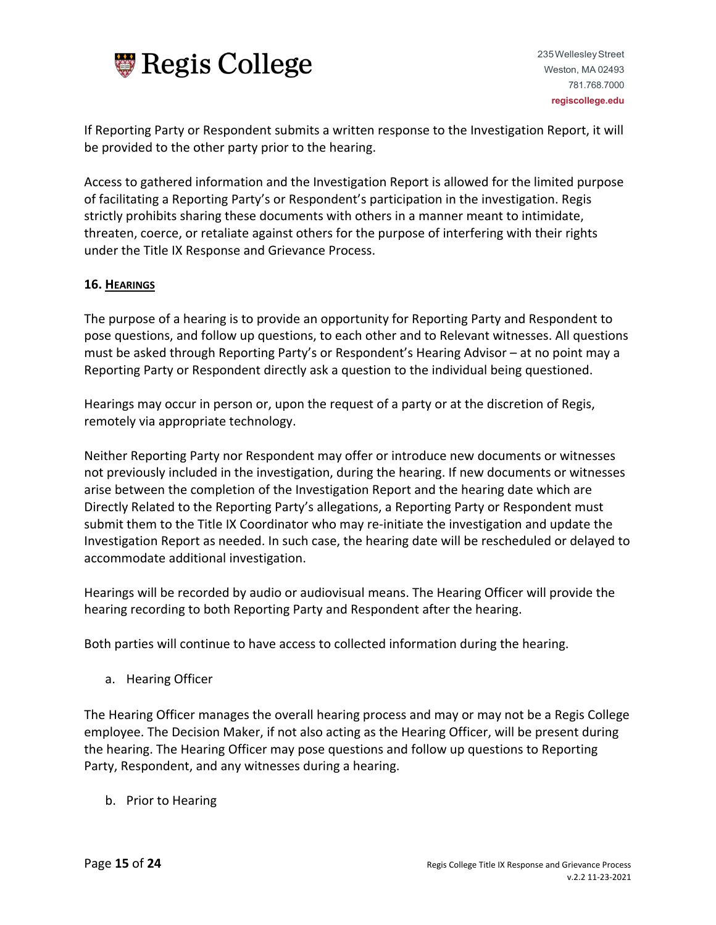

235WellesleyStreet Weston, MA 02493 781.768.7000 **regiscollege.edu**

If Reporting Party or Respondent submits a written response to the Investigation Report, it will be provided to the other party prior to the hearing.

Access to gathered information and the Investigation Report is allowed for the limited purpose of facilitating a Reporting Party's or Respondent's participation in the investigation. Regis strictly prohibits sharing these documents with others in a manner meant to intimidate, threaten, coerce, or retaliate against others for the purpose of interfering with their rights under the Title IX Response and Grievance Process.

## **16. HEARINGS**

The purpose of a hearing is to provide an opportunity for Reporting Party and Respondent to pose questions, and follow up questions, to each other and to Relevant witnesses. All questions must be asked through Reporting Party's or Respondent's Hearing Advisor – at no point may a Reporting Party or Respondent directly ask a question to the individual being questioned.

Hearings may occur in person or, upon the request of a party or at the discretion of Regis, remotely via appropriate technology.

Neither Reporting Party nor Respondent may offer or introduce new documents or witnesses not previously included in the investigation, during the hearing. If new documents or witnesses arise between the completion of the Investigation Report and the hearing date which are Directly Related to the Reporting Party's allegations, a Reporting Party or Respondent must submit them to the Title IX Coordinator who may re-initiate the investigation and update the Investigation Report as needed. In such case, the hearing date will be rescheduled or delayed to accommodate additional investigation.

Hearings will be recorded by audio or audiovisual means. The Hearing Officer will provide the hearing recording to both Reporting Party and Respondent after the hearing.

Both parties will continue to have access to collected information during the hearing.

a. Hearing Officer

The Hearing Officer manages the overall hearing process and may or may not be a Regis College employee. The Decision Maker, if not also acting as the Hearing Officer, will be present during the hearing. The Hearing Officer may pose questions and follow up questions to Reporting Party, Respondent, and any witnesses during a hearing.

b. Prior to Hearing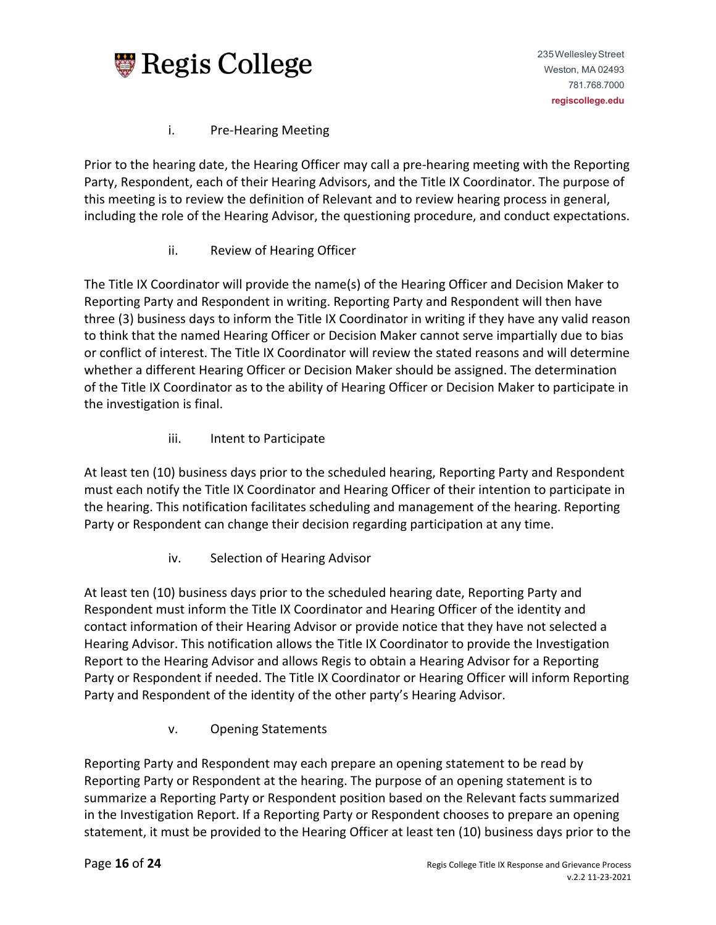

# i. Pre-Hearing Meeting

Prior to the hearing date, the Hearing Officer may call a pre-hearing meeting with the Reporting Party, Respondent, each of their Hearing Advisors, and the Title IX Coordinator. The purpose of this meeting is to review the definition of Relevant and to review hearing process in general, including the role of the Hearing Advisor, the questioning procedure, and conduct expectations.

# ii. Review of Hearing Officer

The Title IX Coordinator will provide the name(s) of the Hearing Officer and Decision Maker to Reporting Party and Respondent in writing. Reporting Party and Respondent will then have three (3) business days to inform the Title IX Coordinator in writing if they have any valid reason to think that the named Hearing Officer or Decision Maker cannot serve impartially due to bias or conflict of interest. The Title IX Coordinator will review the stated reasons and will determine whether a different Hearing Officer or Decision Maker should be assigned. The determination of the Title IX Coordinator as to the ability of Hearing Officer or Decision Maker to participate in the investigation is final.

iii. Intent to Participate

At least ten (10) business days prior to the scheduled hearing, Reporting Party and Respondent must each notify the Title IX Coordinator and Hearing Officer of their intention to participate in the hearing. This notification facilitates scheduling and management of the hearing. Reporting Party or Respondent can change their decision regarding participation at any time.

iv. Selection of Hearing Advisor

At least ten (10) business days prior to the scheduled hearing date, Reporting Party and Respondent must inform the Title IX Coordinator and Hearing Officer of the identity and contact information of their Hearing Advisor or provide notice that they have not selected a Hearing Advisor. This notification allows the Title IX Coordinator to provide the Investigation Report to the Hearing Advisor and allows Regis to obtain a Hearing Advisor for a Reporting Party or Respondent if needed. The Title IX Coordinator or Hearing Officer will inform Reporting Party and Respondent of the identity of the other party's Hearing Advisor.

v. Opening Statements

Reporting Party and Respondent may each prepare an opening statement to be read by Reporting Party or Respondent at the hearing. The purpose of an opening statement is to summarize a Reporting Party or Respondent position based on the Relevant facts summarized in the Investigation Report. If a Reporting Party or Respondent chooses to prepare an opening statement, it must be provided to the Hearing Officer at least ten (10) business days prior to the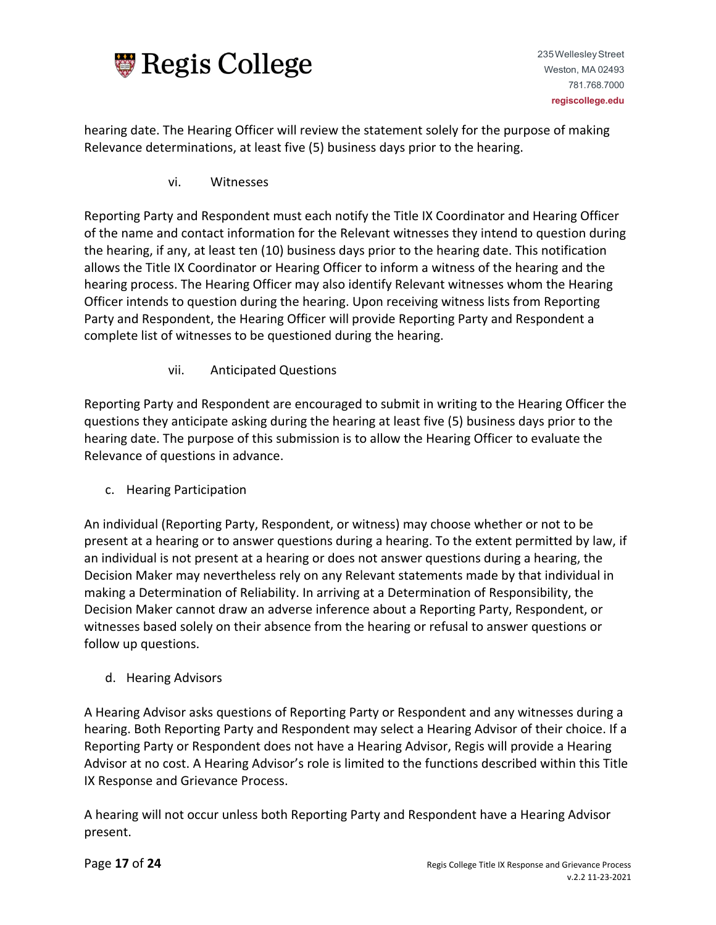

hearing date. The Hearing Officer will review the statement solely for the purpose of making Relevance determinations, at least five (5) business days prior to the hearing.

vi. Witnesses

Reporting Party and Respondent must each notify the Title IX Coordinator and Hearing Officer of the name and contact information for the Relevant witnesses they intend to question during the hearing, if any, at least ten (10) business days prior to the hearing date. This notification allows the Title IX Coordinator or Hearing Officer to inform a witness of the hearing and the hearing process. The Hearing Officer may also identify Relevant witnesses whom the Hearing Officer intends to question during the hearing. Upon receiving witness lists from Reporting Party and Respondent, the Hearing Officer will provide Reporting Party and Respondent a complete list of witnesses to be questioned during the hearing.

vii. Anticipated Questions

Reporting Party and Respondent are encouraged to submit in writing to the Hearing Officer the questions they anticipate asking during the hearing at least five (5) business days prior to the hearing date. The purpose of this submission is to allow the Hearing Officer to evaluate the Relevance of questions in advance.

c. Hearing Participation

An individual (Reporting Party, Respondent, or witness) may choose whether or not to be present at a hearing or to answer questions during a hearing. To the extent permitted by law, if an individual is not present at a hearing or does not answer questions during a hearing, the Decision Maker may nevertheless rely on any Relevant statements made by that individual in making a Determination of Reliability. In arriving at a Determination of Responsibility, the Decision Maker cannot draw an adverse inference about a Reporting Party, Respondent, or witnesses based solely on their absence from the hearing or refusal to answer questions or follow up questions.

d. Hearing Advisors

A Hearing Advisor asks questions of Reporting Party or Respondent and any witnesses during a hearing. Both Reporting Party and Respondent may select a Hearing Advisor of their choice. If a Reporting Party or Respondent does not have a Hearing Advisor, Regis will provide a Hearing Advisor at no cost. A Hearing Advisor's role is limited to the functions described within this Title IX Response and Grievance Process.

A hearing will not occur unless both Reporting Party and Respondent have a Hearing Advisor present.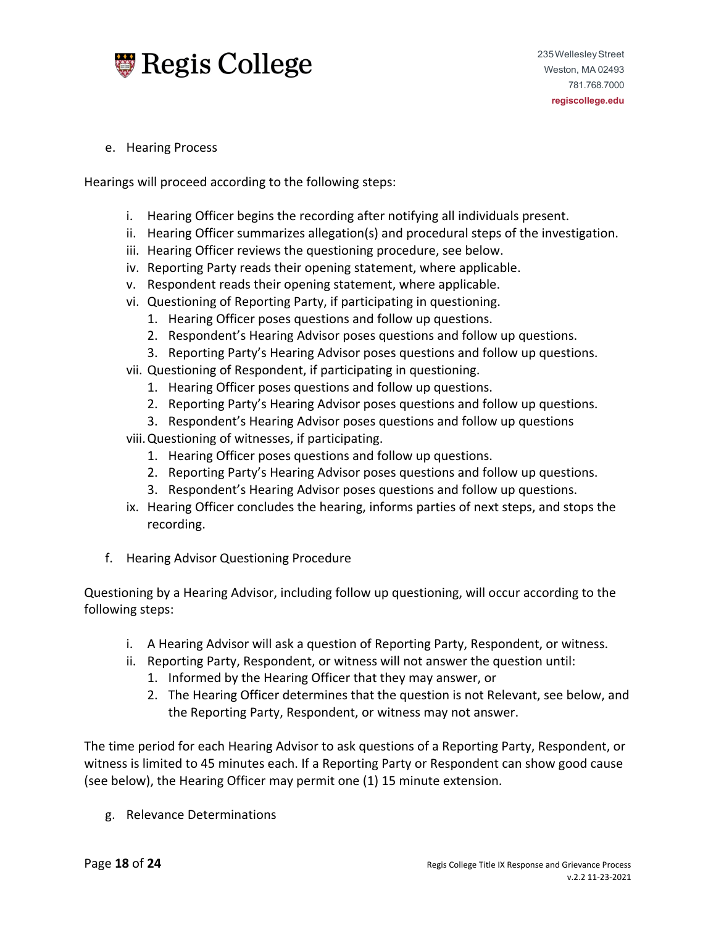

e. Hearing Process

Hearings will proceed according to the following steps:

- i. Hearing Officer begins the recording after notifying all individuals present.
- ii. Hearing Officer summarizes allegation(s) and procedural steps of the investigation.
- iii. Hearing Officer reviews the questioning procedure, see below.
- iv. Reporting Party reads their opening statement, where applicable.
- v. Respondent reads their opening statement, where applicable.
- vi. Questioning of Reporting Party, if participating in questioning.
	- 1. Hearing Officer poses questions and follow up questions.
	- 2. Respondent's Hearing Advisor poses questions and follow up questions.
	- 3. Reporting Party's Hearing Advisor poses questions and follow up questions.
- vii. Questioning of Respondent, if participating in questioning.
	- 1. Hearing Officer poses questions and follow up questions.
	- 2. Reporting Party's Hearing Advisor poses questions and follow up questions.
	- 3. Respondent's Hearing Advisor poses questions and follow up questions
- viii.Questioning of witnesses, if participating.
	- 1. Hearing Officer poses questions and follow up questions.
	- 2. Reporting Party's Hearing Advisor poses questions and follow up questions.
	- 3. Respondent's Hearing Advisor poses questions and follow up questions.
- ix. Hearing Officer concludes the hearing, informs parties of next steps, and stops the recording.
- f. Hearing Advisor Questioning Procedure

Questioning by a Hearing Advisor, including follow up questioning, will occur according to the following steps:

- i. A Hearing Advisor will ask a question of Reporting Party, Respondent, or witness.
- ii. Reporting Party, Respondent, or witness will not answer the question until:
	- 1. Informed by the Hearing Officer that they may answer, or
	- 2. The Hearing Officer determines that the question is not Relevant, see below, and the Reporting Party, Respondent, or witness may not answer.

The time period for each Hearing Advisor to ask questions of a Reporting Party, Respondent, or witness is limited to 45 minutes each. If a Reporting Party or Respondent can show good cause (see below), the Hearing Officer may permit one (1) 15 minute extension.

g. Relevance Determinations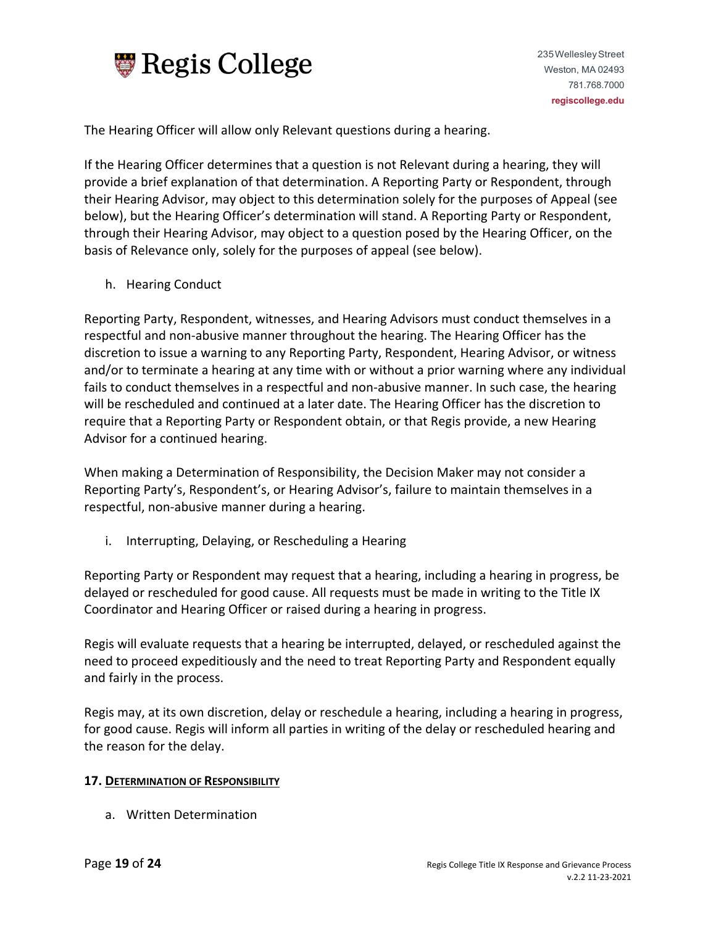

The Hearing Officer will allow only Relevant questions during a hearing.

If the Hearing Officer determines that a question is not Relevant during a hearing, they will provide a brief explanation of that determination. A Reporting Party or Respondent, through their Hearing Advisor, may object to this determination solely for the purposes of Appeal (see below), but the Hearing Officer's determination will stand. A Reporting Party or Respondent, through their Hearing Advisor, may object to a question posed by the Hearing Officer, on the basis of Relevance only, solely for the purposes of appeal (see below).

h. Hearing Conduct

Reporting Party, Respondent, witnesses, and Hearing Advisors must conduct themselves in a respectful and non-abusive manner throughout the hearing. The Hearing Officer has the discretion to issue a warning to any Reporting Party, Respondent, Hearing Advisor, or witness and/or to terminate a hearing at any time with or without a prior warning where any individual fails to conduct themselves in a respectful and non-abusive manner. In such case, the hearing will be rescheduled and continued at a later date. The Hearing Officer has the discretion to require that a Reporting Party or Respondent obtain, or that Regis provide, a new Hearing Advisor for a continued hearing.

When making a Determination of Responsibility, the Decision Maker may not consider a Reporting Party's, Respondent's, or Hearing Advisor's, failure to maintain themselves in a respectful, non-abusive manner during a hearing.

i. Interrupting, Delaying, or Rescheduling a Hearing

Reporting Party or Respondent may request that a hearing, including a hearing in progress, be delayed or rescheduled for good cause. All requests must be made in writing to the Title IX Coordinator and Hearing Officer or raised during a hearing in progress.

Regis will evaluate requests that a hearing be interrupted, delayed, or rescheduled against the need to proceed expeditiously and the need to treat Reporting Party and Respondent equally and fairly in the process.

Regis may, at its own discretion, delay or reschedule a hearing, including a hearing in progress, for good cause. Regis will inform all parties in writing of the delay or rescheduled hearing and the reason for the delay.

#### **17. DETERMINATION OF RESPONSIBILITY**

a. Written Determination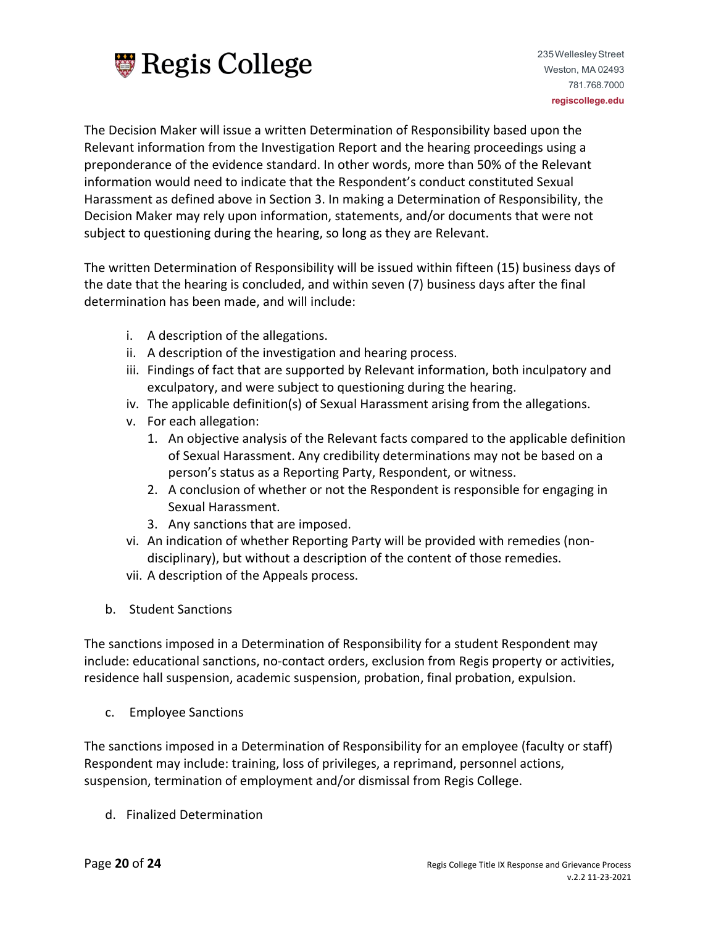

The Decision Maker will issue a written Determination of Responsibility based upon the Relevant information from the Investigation Report and the hearing proceedings using a preponderance of the evidence standard. In other words, more than 50% of the Relevant information would need to indicate that the Respondent's conduct constituted Sexual Harassment as defined above in Section 3. In making a Determination of Responsibility, the Decision Maker may rely upon information, statements, and/or documents that were not subject to questioning during the hearing, so long as they are Relevant.

The written Determination of Responsibility will be issued within fifteen (15) business days of the date that the hearing is concluded, and within seven (7) business days after the final determination has been made, and will include:

- i. A description of the allegations.
- ii. A description of the investigation and hearing process.
- iii. Findings of fact that are supported by Relevant information, both inculpatory and exculpatory, and were subject to questioning during the hearing.
- iv. The applicable definition(s) of Sexual Harassment arising from the allegations.
- v. For each allegation:
	- 1. An objective analysis of the Relevant facts compared to the applicable definition of Sexual Harassment. Any credibility determinations may not be based on a person's status as a Reporting Party, Respondent, or witness.
	- 2. A conclusion of whether or not the Respondent is responsible for engaging in Sexual Harassment.
	- 3. Any sanctions that are imposed.
- vi. An indication of whether Reporting Party will be provided with remedies (nondisciplinary), but without a description of the content of those remedies.
- vii. A description of the Appeals process.
- b. Student Sanctions

The sanctions imposed in a Determination of Responsibility for a student Respondent may include: educational sanctions, no-contact orders, exclusion from Regis property or activities, residence hall suspension, academic suspension, probation, final probation, expulsion.

c. Employee Sanctions

The sanctions imposed in a Determination of Responsibility for an employee (faculty or staff) Respondent may include: training, loss of privileges, a reprimand, personnel actions, suspension, termination of employment and/or dismissal from Regis College.

d. Finalized Determination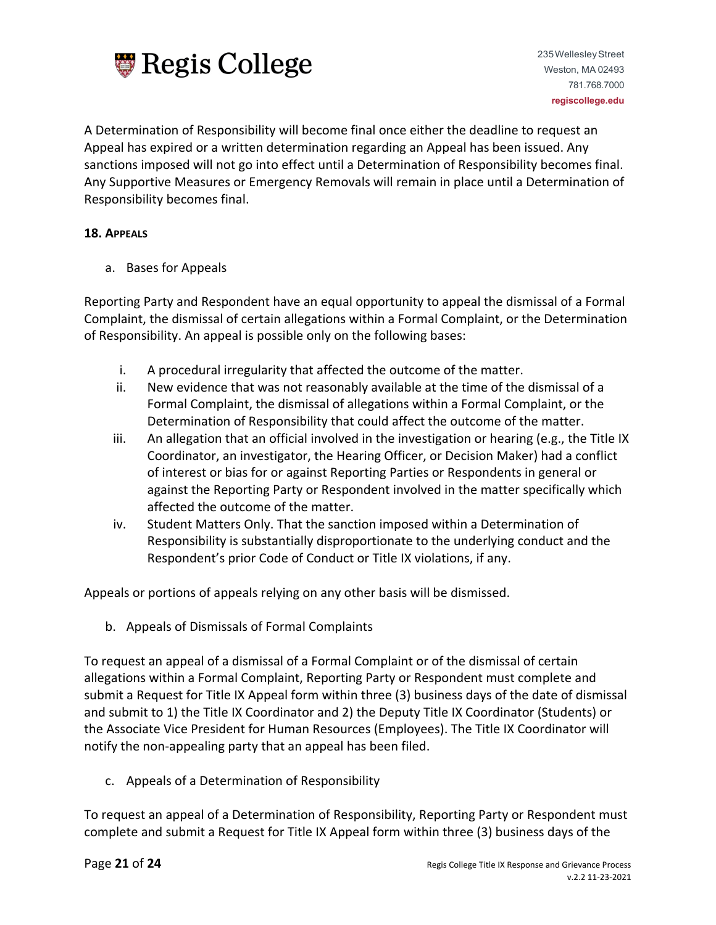

A Determination of Responsibility will become final once either the deadline to request an Appeal has expired or a written determination regarding an Appeal has been issued. Any sanctions imposed will not go into effect until a Determination of Responsibility becomes final. Any Supportive Measures or Emergency Removals will remain in place until a Determination of Responsibility becomes final.

## **18. APPEALS**

a. Bases for Appeals

Reporting Party and Respondent have an equal opportunity to appeal the dismissal of a Formal Complaint, the dismissal of certain allegations within a Formal Complaint, or the Determination of Responsibility. An appeal is possible only on the following bases:

- i. A procedural irregularity that affected the outcome of the matter.
- ii. New evidence that was not reasonably available at the time of the dismissal of a Formal Complaint, the dismissal of allegations within a Formal Complaint, or the Determination of Responsibility that could affect the outcome of the matter.
- iii. An allegation that an official involved in the investigation or hearing (e.g., the Title IX Coordinator, an investigator, the Hearing Officer, or Decision Maker) had a conflict of interest or bias for or against Reporting Parties or Respondents in general or against the Reporting Party or Respondent involved in the matter specifically which affected the outcome of the matter.
- iv. Student Matters Only. That the sanction imposed within a Determination of Responsibility is substantially disproportionate to the underlying conduct and the Respondent's prior Code of Conduct or Title IX violations, if any.

Appeals or portions of appeals relying on any other basis will be dismissed.

b. Appeals of Dismissals of Formal Complaints

To request an appeal of a dismissal of a Formal Complaint or of the dismissal of certain allegations within a Formal Complaint, Reporting Party or Respondent must complete and submit a Request for Title IX Appeal form within three (3) business days of the date of dismissal and submit to 1) the Title IX Coordinator and 2) the Deputy Title IX Coordinator (Students) or the Associate Vice President for Human Resources (Employees). The Title IX Coordinator will notify the non-appealing party that an appeal has been filed.

c. Appeals of a Determination of Responsibility

To request an appeal of a Determination of Responsibility, Reporting Party or Respondent must complete and submit a Request for Title IX Appeal form within three (3) business days of the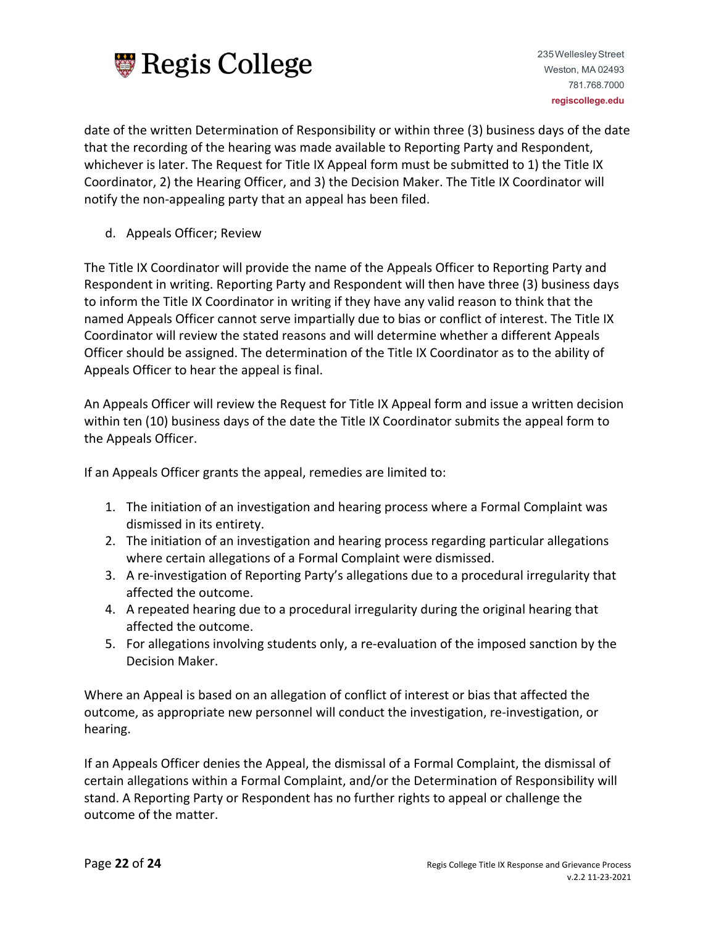

235WellesleyStreet Weston, MA 02493 781.768.7000 **regiscollege.edu**

date of the written Determination of Responsibility or within three (3) business days of the date that the recording of the hearing was made available to Reporting Party and Respondent, whichever is later. The Request for Title IX Appeal form must be submitted to 1) the Title IX Coordinator, 2) the Hearing Officer, and 3) the Decision Maker. The Title IX Coordinator will notify the non-appealing party that an appeal has been filed.

d. Appeals Officer; Review

The Title IX Coordinator will provide the name of the Appeals Officer to Reporting Party and Respondent in writing. Reporting Party and Respondent will then have three (3) business days to inform the Title IX Coordinator in writing if they have any valid reason to think that the named Appeals Officer cannot serve impartially due to bias or conflict of interest. The Title IX Coordinator will review the stated reasons and will determine whether a different Appeals Officer should be assigned. The determination of the Title IX Coordinator as to the ability of Appeals Officer to hear the appeal is final.

An Appeals Officer will review the Request for Title IX Appeal form and issue a written decision within ten (10) business days of the date the Title IX Coordinator submits the appeal form to the Appeals Officer.

If an Appeals Officer grants the appeal, remedies are limited to:

- 1. The initiation of an investigation and hearing process where a Formal Complaint was dismissed in its entirety.
- 2. The initiation of an investigation and hearing process regarding particular allegations where certain allegations of a Formal Complaint were dismissed.
- 3. A re-investigation of Reporting Party's allegations due to a procedural irregularity that affected the outcome.
- 4. A repeated hearing due to a procedural irregularity during the original hearing that affected the outcome.
- 5. For allegations involving students only, a re-evaluation of the imposed sanction by the Decision Maker.

Where an Appeal is based on an allegation of conflict of interest or bias that affected the outcome, as appropriate new personnel will conduct the investigation, re-investigation, or hearing.

If an Appeals Officer denies the Appeal, the dismissal of a Formal Complaint, the dismissal of certain allegations within a Formal Complaint, and/or the Determination of Responsibility will stand. A Reporting Party or Respondent has no further rights to appeal or challenge the outcome of the matter.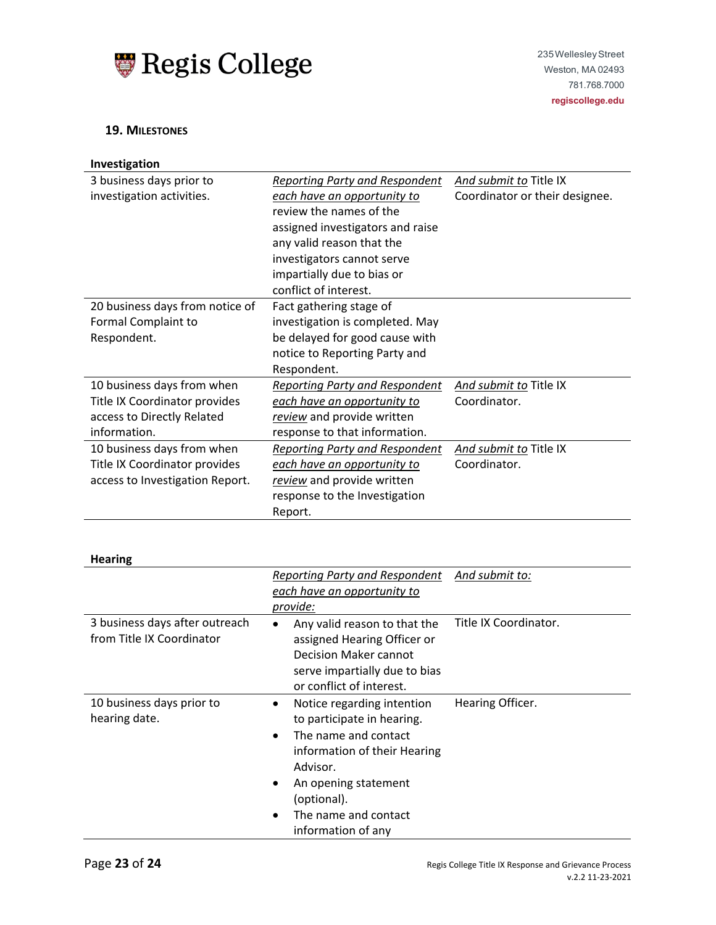

#### **19. MILESTONES**

| Investigation                                                                                                                  |                                                                                                                                                                                                                                                                                                                                                                                        |                                                          |
|--------------------------------------------------------------------------------------------------------------------------------|----------------------------------------------------------------------------------------------------------------------------------------------------------------------------------------------------------------------------------------------------------------------------------------------------------------------------------------------------------------------------------------|----------------------------------------------------------|
| 3 business days prior to<br>investigation activities.<br>20 business days from notice of<br>Formal Complaint to<br>Respondent. | <b>Reporting Party and Respondent</b><br>each have an opportunity to<br>review the names of the<br>assigned investigators and raise<br>any valid reason that the<br>investigators cannot serve<br>impartially due to bias or<br>conflict of interest.<br>Fact gathering stage of<br>investigation is completed. May<br>be delayed for good cause with<br>notice to Reporting Party and | And submit to Title IX<br>Coordinator or their designee. |
|                                                                                                                                | Respondent.                                                                                                                                                                                                                                                                                                                                                                            |                                                          |
| 10 business days from when<br>Title IX Coordinator provides<br>access to Directly Related<br>information.                      | <b>Reporting Party and Respondent</b><br>each have an opportunity to<br>review and provide written<br>response to that information.                                                                                                                                                                                                                                                    | And submit to Title IX<br>Coordinator.                   |
| 10 business days from when<br>Title IX Coordinator provides<br>access to Investigation Report.                                 | Reporting Party and Respondent<br>each have an opportunity to<br>review and provide written<br>response to the Investigation<br>Report.                                                                                                                                                                                                                                                | And submit to Title IX<br>Coordinator.                   |
| <b>Hearing</b>                                                                                                                 |                                                                                                                                                                                                                                                                                                                                                                                        |                                                          |
|                                                                                                                                | <b>Reporting Party and Respondent</b><br>each have an opportunity to<br>provide:                                                                                                                                                                                                                                                                                                       | <u>And submit to:</u>                                    |
| 3 business days after outreach<br>from Title IX Coordinator                                                                    | Any valid reason to that the<br>٠<br>assigned Hearing Officer or<br><b>Decision Maker cannot</b><br>serve impartially due to bias<br>or conflict of interest.                                                                                                                                                                                                                          | Title IX Coordinator.                                    |
| 10 business days prior to<br>hearing date.                                                                                     | Notice regarding intention<br>$\bullet$<br>to participate in hearing.<br>The name and contact<br>information of their Hearing<br>Advisor.<br>An opening statement<br>(optional).<br>The name and contact<br>information of any                                                                                                                                                         | Hearing Officer.                                         |